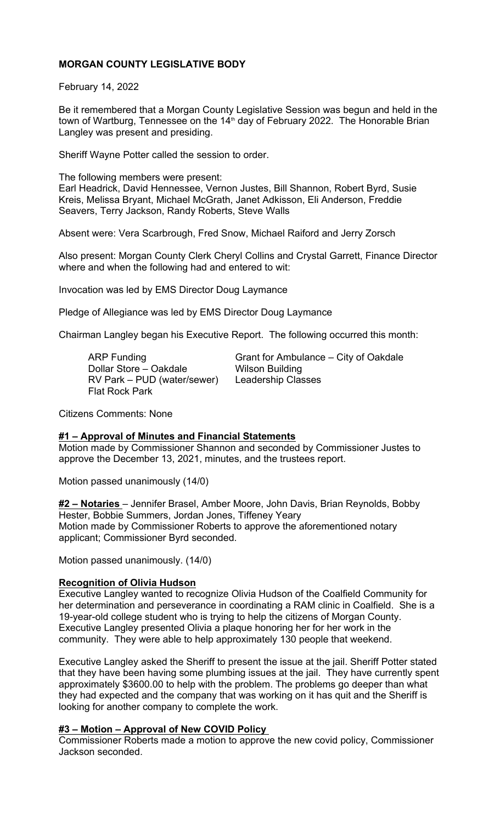# **MORGAN COUNTY LEGISLATIVE BODY**

February 14, 2022

Be it remembered that a Morgan County Legislative Session was begun and held in the town of Wartburg, Tennessee on the 14<sup>th</sup> day of February 2022. The Honorable Brian Langley was present and presiding.

Sheriff Wayne Potter called the session to order.

The following members were present: Earl Headrick, David Hennessee, Vernon Justes, Bill Shannon, Robert Byrd, Susie Kreis, Melissa Bryant, Michael McGrath, Janet Adkisson, Eli Anderson, Freddie

Absent were: Vera Scarbrough, Fred Snow, Michael Raiford and Jerry Zorsch

Also present: Morgan County Clerk Cheryl Collins and Crystal Garrett, Finance Director where and when the following had and entered to wit:

Invocation was led by EMS Director Doug Laymance

Seavers, Terry Jackson, Randy Roberts, Steve Walls

Pledge of Allegiance was led by EMS Director Doug Laymance

Chairman Langley began his Executive Report. The following occurred this month:

Dollar Store – Oakdale RV Park – PUD (water/sewer) Leadership Classes Flat Rock Park

ARP Funding Grant for Ambulance – City of Oakdale<br>Dollar Store – Oakdale Wilson Building

Citizens Comments: None

### **#1 – Approval of Minutes and Financial Statements**

Motion made by Commissioner Shannon and seconded by Commissioner Justes to approve the December 13, 2021, minutes, and the trustees report.

Motion passed unanimously (14/0)

**#2 – Notaries** – Jennifer Brasel, Amber Moore, John Davis, Brian Reynolds, Bobby Hester, Bobbie Summers, Jordan Jones, Tiffeney Yeary Motion made by Commissioner Roberts to approve the aforementioned notary applicant; Commissioner Byrd seconded.

Motion passed unanimously. (14/0)

### **Recognition of Olivia Hudson**

Executive Langley wanted to recognize Olivia Hudson of the Coalfield Community for her determination and perseverance in coordinating a RAM clinic in Coalfield. She is a 19-year-old college student who is trying to help the citizens of Morgan County. Executive Langley presented Olivia a plaque honoring her for her work in the community. They were able to help approximately 130 people that weekend.

Executive Langley asked the Sheriff to present the issue at the jail. Sheriff Potter stated that they have been having some plumbing issues at the jail. They have currently spent approximately \$3600.00 to help with the problem. The problems go deeper than what they had expected and the company that was working on it has quit and the Sheriff is looking for another company to complete the work.

### **#3 – Motion – Approval of New COVID Policy**

Commissioner Roberts made a motion to approve the new covid policy, Commissioner Jackson seconded.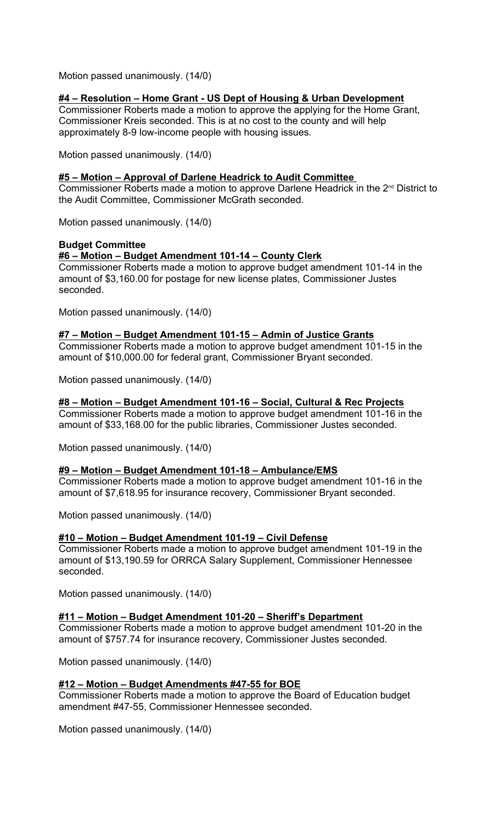Motion passed unanimously. (14/0)

# **#4 – Resolution – Home Grant - US Dept of Housing & Urban Development**

Commissioner Roberts made a motion to approve the applying for the Home Grant, Commissioner Kreis seconded. This is at no cost to the county and will help approximately 8-9 low-income people with housing issues.

Motion passed unanimously. (14/0)

### **#5 – Motion – Approval of Darlene Headrick to Audit Committee**

Commissioner Roberts made a motion to approve Darlene Headrick in the 2<sup>nd</sup> District to the Audit Committee, Commissioner McGrath seconded.

Motion passed unanimously. (14/0)

## **Budget Committee**

**#6 – Motion – Budget Amendment 101-14 – County Clerk**

Commissioner Roberts made a motion to approve budget amendment 101-14 in the amount of \$3,160.00 for postage for new license plates, Commissioner Justes seconded.

Motion passed unanimously. (14/0)

### **#7 – Motion – Budget Amendment 101-15 – Admin of Justice Grants**

Commissioner Roberts made a motion to approve budget amendment 101-15 in the amount of \$10,000.00 for federal grant, Commissioner Bryant seconded.

Motion passed unanimously. (14/0)

#### **#8 – Motion – Budget Amendment 101-16 – Social, Cultural & Rec Projects** Commissioner Roberts made a motion to approve budget amendment 101-16 in the

amount of \$33,168.00 for the public libraries, Commissioner Justes seconded.

Motion passed unanimously. (14/0)

# **#9 – Motion – Budget Amendment 101-18 – Ambulance/EMS**

Commissioner Roberts made a motion to approve budget amendment 101-16 in the amount of \$7,618.95 for insurance recovery, Commissioner Bryant seconded.

Motion passed unanimously. (14/0)

# **#10 – Motion – Budget Amendment 101-19 – Civil Defense**

Commissioner Roberts made a motion to approve budget amendment 101-19 in the amount of \$13,190.59 for ORRCA Salary Supplement, Commissioner Hennessee seconded.

Motion passed unanimously. (14/0)

### **#11 – Motion – Budget Amendment 101-20 – Sheriff's Department**

Commissioner Roberts made a motion to approve budget amendment 101-20 in the amount of \$757.74 for insurance recovery, Commissioner Justes seconded.

Motion passed unanimously. (14/0)

# **#12 – Motion – Budget Amendments #47-55 for BOE**

Commissioner Roberts made a motion to approve the Board of Education budget amendment #47-55, Commissioner Hennessee seconded.

Motion passed unanimously. (14/0)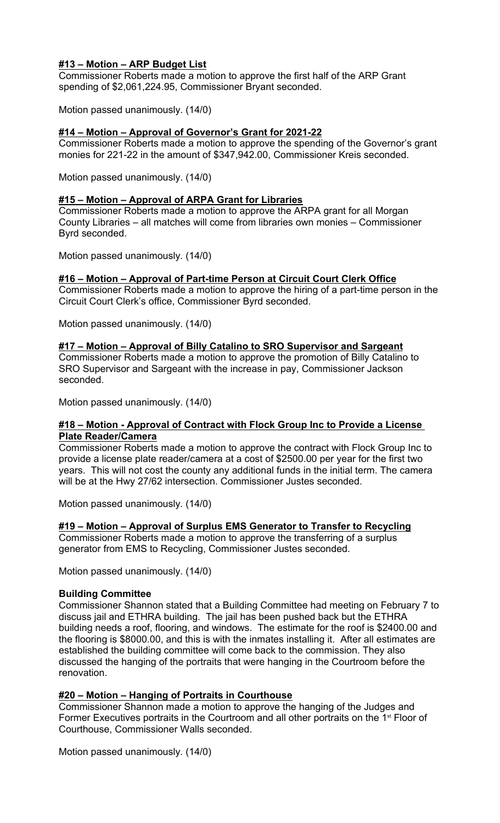# **#13 – Motion – ARP Budget List**

Commissioner Roberts made a motion to approve the first half of the ARP Grant spending of \$2,061,224.95, Commissioner Bryant seconded.

Motion passed unanimously. (14/0)

### **#14 – Motion – Approval of Governor's Grant for 2021-22**

Commissioner Roberts made a motion to approve the spending of the Governor's grant monies for 221-22 in the amount of \$347,942.00, Commissioner Kreis seconded.

Motion passed unanimously. (14/0)

## **#15 – Motion – Approval of ARPA Grant for Libraries**

Commissioner Roberts made a motion to approve the ARPA grant for all Morgan County Libraries – all matches will come from libraries own monies – Commissioner Byrd seconded.

Motion passed unanimously. (14/0)

### **#16 – Motion – Approval of Part-time Person at Circuit Court Clerk Office**

Commissioner Roberts made a motion to approve the hiring of a part-time person in the Circuit Court Clerk's office, Commissioner Byrd seconded.

Motion passed unanimously. (14/0)

### **#17 – Motion – Approval of Billy Catalino to SRO Supervisor and Sargeant**

Commissioner Roberts made a motion to approve the promotion of Billy Catalino to SRO Supervisor and Sargeant with the increase in pay, Commissioner Jackson seconded.

Motion passed unanimously. (14/0)

### **#18 – Motion - Approval of Contract with Flock Group Inc to Provide a License Plate Reader/Camera**

Commissioner Roberts made a motion to approve the contract with Flock Group Inc to provide a license plate reader/camera at a cost of \$2500.00 per year for the first two years. This will not cost the county any additional funds in the initial term. The camera will be at the Hwy 27/62 intersection. Commissioner Justes seconded.

Motion passed unanimously. (14/0)

# **#19 – Motion – Approval of Surplus EMS Generator to Transfer to Recycling**

Commissioner Roberts made a motion to approve the transferring of a surplus generator from EMS to Recycling, Commissioner Justes seconded.

Motion passed unanimously. (14/0)

### **Building Committee**

Commissioner Shannon stated that a Building Committee had meeting on February 7 to discuss jail and ETHRA building. The jail has been pushed back but the ETHRA building needs a roof, flooring, and windows. The estimate for the roof is \$2400.00 and the flooring is \$8000.00, and this is with the inmates installing it. After all estimates are established the building committee will come back to the commission. They also discussed the hanging of the portraits that were hanging in the Courtroom before the renovation.

### **#20 – Motion – Hanging of Portraits in Courthouse**

Commissioner Shannon made a motion to approve the hanging of the Judges and Former Executives portraits in the Courtroom and all other portraits on the 1<sup>st</sup> Floor of Courthouse, Commissioner Walls seconded.

Motion passed unanimously. (14/0)